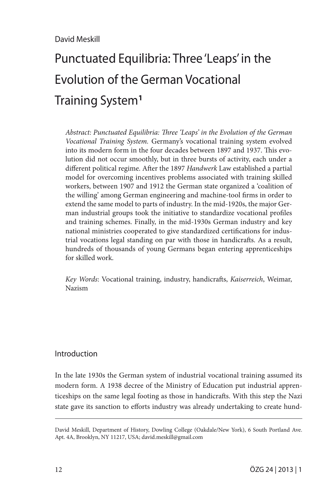# Punctuated Equilibria: Three 'Leaps' in the Evolution of the German Vocational Training System**<sup>1</sup>**

*Abstract: Punctuated Equilibria: Three 'Leaps' in the Evolution of the German Vocational Training System.* Germany's vocational training system evolved into its modern form in the four decades between 1897 and 1937. This evolution did not occur smoothly, but in three bursts of activity, each under a different political regime. After the 1897 *Handwerk* Law established a partial model for overcoming incentives problems associated with training skilled workers, between 1907 and 1912 the German state organized a 'coalition of the willing' among German engineering and machine-tool firms in order to extend the same model to parts of industry. In the mid-1920s, the major German industrial groups took the initiative to standardize vocational profiles and training schemes. Finally, in the mid-1930s German industry and key national ministries cooperated to give standardized certifications for industrial vocations legal standing on par with those in handicrafts. As a result, hundreds of thousands of young Germans began entering apprenticeships for skilled work.

*Key Words*: Vocational training, industry, handicrafts, *Kaiserreich*, Weimar, Nazism

## Introduction

In the late 1930s the German system of industrial vocational training assumed its modern form. A 1938 decree of the Ministry of Education put industrial apprenticeships on the same legal footing as those in handicrafts. With this step the Nazi state gave its sanction to efforts industry was already undertaking to create hund-

David Meskill, Department of History, Dowling College (Oakdale/New York), 6 South Portland Ave. Apt. 4A, Brooklyn, NY 11217, USA; david.meskill@gmail.com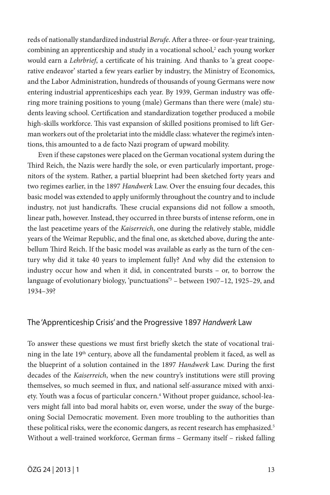reds of nationally standardized industrial *Berufe*. After a three- or four-year training, combining an apprenticeship and study in a vocational school,<sup>2</sup> each young worker would earn a *Lehrbrief*, a certificate of his training. And thanks to 'a great cooperative endeavor' started a few years earlier by industry, the Ministry of Economics, and the Labor Administration, hundreds of thousands of young Germans were now entering industrial apprenticeships each year. By 1939, German industry was offering more training positions to young (male) Germans than there were (male) students leaving school. Certification and standardization together produced a mobile high-skills workforce. This vast expansion of skilled positions promised to lift German workers out of the proletariat into the middle class: whatever the regime's intentions, this amounted to a de facto Nazi program of upward mobility.

Even if these capstones were placed on the German vocational system during the Third Reich, the Nazis were hardly the sole, or even particularly important, progenitors of the system. Rather, a partial blueprint had been sketched forty years and two regimes earlier, in the 1897 *Handwerk* Law. Over the ensuing four decades, this basic model was extended to apply uniformly throughout the country and to include industry, not just handicrafts. These crucial expansions did not follow a smooth, linear path, however. Instead, they occurred in three bursts of intense reform, one in the last peacetime years of the *Kaiserreich*, one during the relatively stable, middle years of the Weimar Republic, and the final one, as sketched above, during the antebellum Third Reich. If the basic model was available as early as the turn of the century why did it take 40 years to implement fully? And why did the extension to industry occur how and when it did, in concentrated bursts – or, to borrow the language of evolutionary biology, 'punctuations'3 – between 1907–12, 1925–29, and 1934–39?

### The 'Apprenticeship Crisis' and the Progressive 1897 *Handwerk* Law

To answer these questions we must first briefly sketch the state of vocational training in the late 19th century, above all the fundamental problem it faced, as well as the blueprint of a solution contained in the 1897 *Handwerk* Law. During the first decades of the *Kaiserreich*, when the new country's institutions were still proving themselves, so much seemed in flux, and national self-assurance mixed with anxiety. Youth was a focus of particular concern.4 Without proper guidance, school-leavers might fall into bad moral habits or, even worse, under the sway of the burgeoning Social Democratic movement. Even more troubling to the authorities than these political risks, were the economic dangers, as recent research has emphasized.<sup>5</sup> Without a well-trained workforce, German firms – Germany itself – risked falling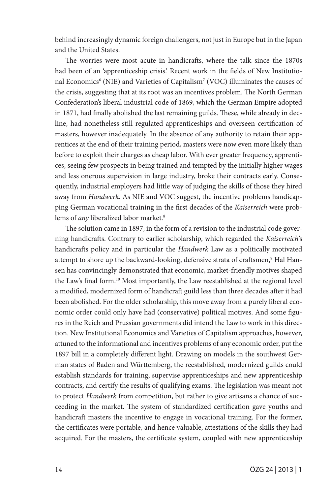behind increasingly dynamic foreign challengers, not just in Europe but in the Japan and the United States.

The worries were most acute in handicrafts, where the talk since the 1870s had been of an 'apprenticeship crisis.' Recent work in the fields of New Institutional Economics<sup>6</sup> (NIE) and Varieties of Capitalism<sup>7</sup> (VOC) illuminates the causes of the crisis, suggesting that at its root was an incentives problem. The North German Confederation's liberal industrial code of 1869, which the German Empire adopted in 1871, had finally abolished the last remaining guilds. These, while already in decline, had nonetheless still regulated apprenticeships and overseen certification of masters, however inadequately. In the absence of any authority to retain their apprentices at the end of their training period, masters were now even more likely than before to exploit their charges as cheap labor. With ever greater frequency, apprentices, seeing few prospects in being trained and tempted by the initially higher wages and less onerous supervision in large industry, broke their contracts early. Consequently, industrial employers had little way of judging the skills of those they hired away from *Handwerk*. As NIE and VOC suggest, the incentive problems handicapping German vocational training in the first decades of the *Kaiserreich* were problems of *any* liberalized labor market.<sup>8</sup>

The solution came in 1897, in the form of a revision to the industrial code governing handicrafts. Contrary to earlier scholarship, which regarded the *Kaiserreich*'s handicrafts policy and in particular the *Handwerk* Law as a politically motivated attempt to shore up the backward-looking, defensive strata of craftsmen,<sup>9</sup> Hal Hansen has convincingly demonstrated that economic, market-friendly motives shaped the Law's final form.10 Most importantly, the Law reestablished at the regional level a modified, modernized form of handicraft guild less than three decades after it had been abolished. For the older scholarship, this move away from a purely liberal economic order could only have had (conservative) political motives. And some figures in the Reich and Prussian governments did intend the Law to work in this direction. New Institutional Economics and Varieties of Capitalism approaches, however, attuned to the informational and incentives problems of any economic order, put the 1897 bill in a completely different light. Drawing on models in the southwest German states of Baden and Württemberg, the reestablished, modernized guilds could establish standards for training, supervise apprenticeships and new apprenticeship contracts, and certify the results of qualifying exams. The legislation was meant not to protect *Handwerk* from competition, but rather to give artisans a chance of succeeding in the market. The system of standardized certification gave youths and handicraft masters the incentive to engage in vocational training. For the former, the certificates were portable, and hence valuable, attestations of the skills they had acquired. For the masters, the certificate system, coupled with new apprenticeship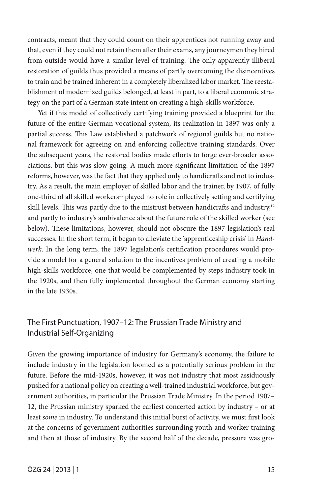contracts, meant that they could count on their apprentices not running away and that, even if they could not retain them after their exams, any journeymen they hired from outside would have a similar level of training. The only apparently illiberal restoration of guilds thus provided a means of partly overcoming the disincentives to train and be trained inherent in a completely liberalized labor market. The reestablishment of modernized guilds belonged, at least in part, to a liberal economic strategy on the part of a German state intent on creating a high-skills workforce.

Yet if this model of collectively certifying training provided a blueprint for the future of the entire German vocational system, its realization in 1897 was only a partial success. This Law established a patchwork of regional guilds but no national framework for agreeing on and enforcing collective training standards. Over the subsequent years, the restored bodies made efforts to forge ever-broader associations, but this was slow going. A much more significant limitation of the 1897 reforms, however, was the fact that they applied only to handicrafts and not to industry. As a result, the main employer of skilled labor and the trainer, by 1907, of fully one-third of all skilled workers<sup>11</sup> played no role in collectively setting and certifying skill levels. This was partly due to the mistrust between handicrafts and industry, $12$ and partly to industry's ambivalence about the future role of the skilled worker (see below). These limitations, however, should not obscure the 1897 legislation's real successes. In the short term, it began to alleviate the 'apprenticeship crisis' in *Handwerk*. In the long term, the 1897 legislation's certification procedures would provide a model for a general solution to the incentives problem of creating a mobile high-skills workforce, one that would be complemented by steps industry took in the 1920s, and then fully implemented throughout the German economy starting in the late 1930s.

# The First Punctuation, 1907–12: The Prussian Trade Ministry and Industrial Self-Organizing

Given the growing importance of industry for Germany's economy, the failure to include industry in the legislation loomed as a potentially serious problem in the future. Before the mid-1920s, however, it was not industry that most assiduously pushed for a national policy on creating a well-trained industrial workforce, but government authorities, in particular the Prussian Trade Ministry. In the period 1907– 12, the Prussian ministry sparked the earliest concerted action by industry – or at least *some* in industry. To understand this initial burst of activity, we must first look at the concerns of government authorities surrounding youth and worker training and then at those of industry. By the second half of the decade, pressure was gro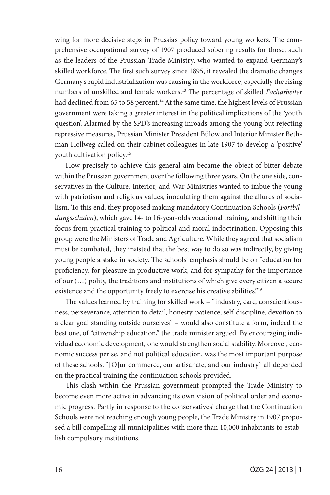wing for more decisive steps in Prussia's policy toward young workers. The comprehensive occupational survey of 1907 produced sobering results for those, such as the leaders of the Prussian Trade Ministry, who wanted to expand Germany's skilled workforce. The first such survey since 1895, it revealed the dramatic changes Germany's rapid industrialization was causing in the workforce, especially the rising numbers of unskilled and female workers.13 The percentage of skilled *Facharbeiter* had declined from 65 to 58 percent.<sup>14</sup> At the same time, the highest levels of Prussian government were taking a greater interest in the political implications of the 'youth question'. Alarmed by the SPD's increasing inroads among the young but rejecting repressive measures, Prussian Minister President Bülow and Interior Minister Bethman Hollweg called on their cabinet colleagues in late 1907 to develop a 'positive' youth cultivation policy.<sup>15</sup>

How precisely to achieve this general aim became the object of bitter debate within the Prussian government over the following three years. On the one side, conservatives in the Culture, Interior, and War Ministries wanted to imbue the young with patriotism and religious values, inoculating them against the allures of socialism. To this end, they proposed making mandatory Continuation Schools (*Fortbildungsschulen*), which gave 14- to 16-year-olds vocational training, and shifting their focus from practical training to political and moral indoctrination. Opposing this group were the Ministers of Trade and Agriculture. While they agreed that socialism must be combated, they insisted that the best way to do so was indirectly, by giving young people a stake in society. The schools' emphasis should be on "education for proficiency, for pleasure in productive work, and for sympathy for the importance of our (…) polity, the traditions and institutions of which give every citizen a secure existence and the opportunity freely to exercise his creative abilities."<sup>16</sup>

The values learned by training for skilled work – "industry, care, conscientiousness, perseverance, attention to detail, honesty, patience, self-discipline, devotion to a clear goal standing outside ourselves" – would also constitute a form, indeed the best one, of "citizenship education," the trade minister argued. By encouraging individual economic development, one would strengthen social stability. Moreover, economic success per se, and not political education, was the most important purpose of these schools. "[O]ur commerce, our artisanate, and our industry" all depended on the practical training the continuation schools provided.

This clash within the Prussian government prompted the Trade Ministry to become even more active in advancing its own vision of political order and economic progress. Partly in response to the conservatives' charge that the Continuation Schools were not reaching enough young people, the Trade Ministry in 1907 proposed a bill compelling all municipalities with more than 10,000 inhabitants to establish compulsory institutions.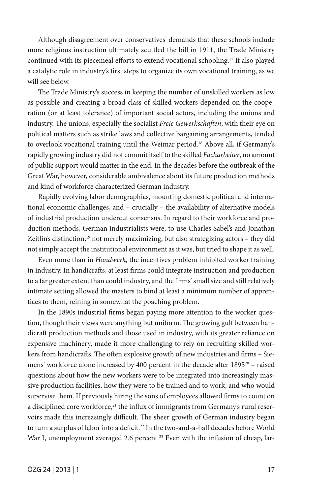Although disagreement over conservatives' demands that these schools include more religious instruction ultimately scuttled the bill in 1911, the Trade Ministry continued with its piecemeal efforts to extend vocational schooling.17 It also played a catalytic role in industry's first steps to organize its own vocational training, as we will see below.

The Trade Ministry's success in keeping the number of unskilled workers as low as possible and creating a broad class of skilled workers depended on the cooperation (or at least tolerance) of important social actors, including the unions and industry. The unions, especially the socialist *Freie Gewerkschaften*, with their eye on political matters such as strike laws and collective bargaining arrangements, tended to overlook vocational training until the Weimar period.18 Above all, if Germany's rapidly growing industry did not commit itself to the skilled *Facharbeiter*, no amount of public support would matter in the end. In the decades before the outbreak of the Great War, however, considerable ambivalence about its future production methods and kind of workforce characterized German industry.

Rapidly evolving labor demographics, mounting domestic political and international economic challenges, and – crucially – the availability of alternative models of industrial production undercut consensus. In regard to their workforce and production methods, German industrialists were, to use Charles Sabel's and Jonathan Zeitlin's distinction,<sup>19</sup> not merely maximizing, but also strategizing actors – they did not simply accept the institutional environment as it was, but tried to shape it as well.

Even more than in *Handwerk*, the incentives problem inhibited worker training in industry. In handicrafts, at least firms could integrate instruction and production to a far greater extent than could industry, and the firms' small size and still relatively intimate setting allowed the masters to bind at least a minimum number of apprentices to them, reining in somewhat the poaching problem.

In the 1890s industrial firms began paying more attention to the worker question, though their views were anything but uniform. The growing gulf between handicraft production methods and those used in industry, with its greater reliance on expensive machinery, made it more challenging to rely on recruiting skilled workers from handicrafts. The often explosive growth of new industries and firms – Siemens' workforce alone increased by 400 percent in the decade after 1895<sup>20</sup> – raised questions about how the new workers were to be integrated into increasingly massive production facilities, how they were to be trained and to work, and who would supervise them. If previously hiring the sons of employees allowed firms to count on a disciplined core workforce,<sup>21</sup> the influx of immigrants from Germany's rural reservoirs made this increasingly difficult. The sheer growth of German industry began to turn a surplus of labor into a deficit.<sup>22</sup> In the two-and-a-half decades before World War I, unemployment averaged 2.6 percent.<sup>23</sup> Even with the infusion of cheap, lar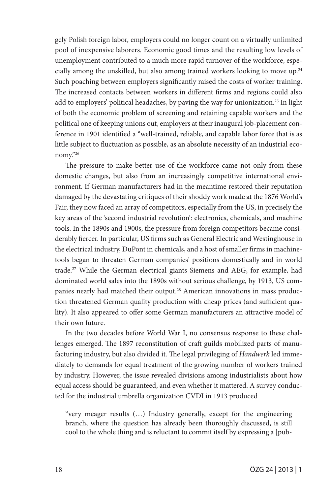gely Polish foreign labor, employers could no longer count on a virtually unlimited pool of inexpensive laborers. Economic good times and the resulting low levels of unemployment contributed to a much more rapid turnover of the workforce, especially among the unskilled, but also among trained workers looking to move up.24 Such poaching between employers significantly raised the costs of worker training. The increased contacts between workers in different firms and regions could also add to employers' political headaches, by paving the way for unionization.<sup>25</sup> In light of both the economic problem of screening and retaining capable workers and the political one of keeping unions out, employers at their inaugural job-placement conference in 1901 identified a "well-trained, reliable, and capable labor force that is as little subject to fluctuation as possible, as an absolute necessity of an industrial economy."26

The pressure to make better use of the workforce came not only from these domestic changes, but also from an increasingly competitive international environment. If German manufacturers had in the meantime restored their reputation damaged by the devastating critiques of their shoddy work made at the 1876 World's Fair, they now faced an array of competitors, especially from the US, in precisely the key areas of the 'second industrial revolution': electronics, chemicals, and machine tools. In the 1890s and 1900s, the pressure from foreign competitors became considerably fiercer. In particular, US firms such as General Electric and Westinghouse in the electrical industry, DuPont in chemicals, and a host of smaller firms in machinetools began to threaten German companies' positions domestically and in world trade.27 While the German electrical giants Siemens and AEG, for example, had dominated world sales into the 1890s without serious challenge, by 1913, US companies nearly had matched their output.<sup>28</sup> American innovations in mass production threatened German quality production with cheap prices (and sufficient quality). It also appeared to offer some German manufacturers an attractive model of their own future.

In the two decades before World War I, no consensus response to these challenges emerged. The 1897 reconstitution of craft guilds mobilized parts of manufacturing industry, but also divided it. The legal privileging of *Handwerk* led immediately to demands for equal treatment of the growing number of workers trained by industry. However, the issue revealed divisions among industrialists about how equal access should be guaranteed, and even whether it mattered. A survey conducted for the industrial umbrella organization CVDI in 1913 produced

"very meager results (…) Industry generally, except for the engineering branch, where the question has already been thoroughly discussed, is still cool to the whole thing and is reluctant to commit itself by expressing a [pub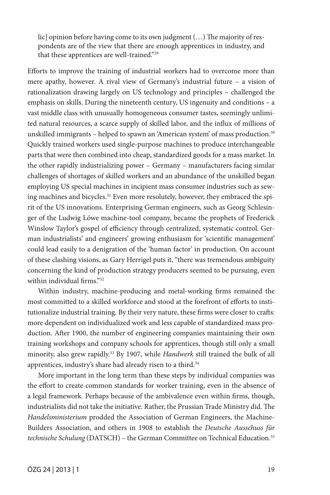lic] opinion before having come to its own judgment (...) The majority of respondents are of the view that there are enough apprentices in industry, and that these apprentices are well-trained."29

Efforts to improve the training of industrial workers had to overcome more than mere apathy, however. A rival view of Germany's industrial future – a vision of rationalization drawing largely on US technology and principles – challenged the emphasis on skills. During the nineteenth century, US ingenuity and conditions – a vast middle class with unusually homogeneous consumer tastes, seemingly unlimited natural resources, a scarce supply of skilled labor, and the influx of millions of unskilled immigrants - helped to spawn an 'American system' of mass production.<sup>30</sup> Quickly trained workers used single-purpose machines to produce interchangeable parts that were then combined into cheap, standardized goods for a mass market. In the other rapidly industrializing power – Germany – manufacturers facing similar challenges of shortages of skilled workers and an abundance of the unskilled began employing US special machines in incipient mass consumer industries such as sewing machines and bicycles.<sup>31</sup> Even more resolutely, however, they embraced the spirit of the US innovations. Enterprising German engineers, such as Georg Schlesinger of the Ludwig Löwe machine-tool company, became the prophets of Frederick Winslow Taylor's gospel of efficiency through centralized, systematic control. German industrialists' and engineers' growing enthusiasm for 'scientific management' could lead easily to a denigration of the 'human factor' in production. On account of these clashing visions, as Gary Herrigel puts it, "there was tremendous ambiguity concerning the kind of production strategy producers seemed to be pursuing, even within individual firms<sup>"32</sup>

Within industry, machine-producing and metal-working firms remained the most committed to a skilled workforce and stood at the forefront of efforts to institutionalize industrial training. By their very nature, these firms were closer to crafts: more dependent on individualized work and less capable of standardized mass production. After 1900, the number of engineering companies maintaining their own training workshops and company schools for apprentices, though still only a small minority, also grew rapidly.33 By 1907, while *Handwerk* still trained the bulk of all apprentices, industry's share had already risen to a third.<sup>34</sup>

More important in the long term than these steps by individual companies was the effort to create common standards for worker training, even in the absence of a legal framework. Perhaps because of the ambivalence even within firms, though, industrialists did not take the initiative. Rather, the Prussian Trade Ministry did. The *Handelsministerium* prodded the Association of German Engineers, the Machine-Builders Association, and others in 1908 to establish the *Deutsche Ausschuss für technische Schulung* (DATSCH) – the German Committee on Technical Education.35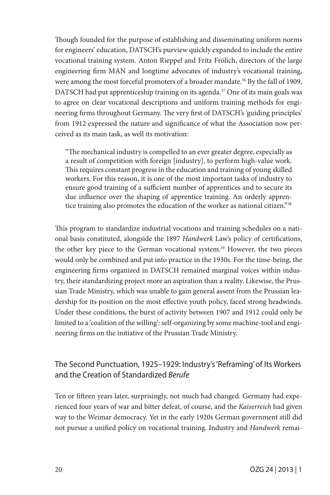Though founded for the purpose of establishing and disseminating uniform norms for engineers' education, DATSCH's purview quickly expanded to include the entire vocational training system. Anton Rieppel and Fritz Frölich, directors of the large engineering firm MAN and longtime advocates of industry's vocational training, were among the most forceful promoters of a broader mandate.<sup>36</sup> By the fall of 1909, DATSCH had put apprenticeship training on its agenda.<sup>37</sup> One of its main goals was to agree on clear vocational descriptions and uniform training methods for engineering firms throughout Germany. The very first of DATSCH's 'guiding principles' from 1912 expressed the nature and significance of what the Association now perceived as its main task, as well its motivation:

"The mechanical industry is compelled to an ever greater degree, especially as a result of competition with foreign [industry], to perform high-value work. This requires constant progress in the education and training of young skilled workers. For this reason, it is one of the most important tasks of industry to ensure good training of a sufficient number of apprentices and to secure its due influence over the shaping of apprentice training. An orderly apprentice training also promotes the education of the worker as national citizen."38

This program to standardize industrial vocations and training schedules on a national basis constituted, alongside the 1897 *Handwerk* Law's policy of certifications, the other key piece to the German vocational system.<sup>39</sup> However, the two pieces would only be combined and put into practice in the 1930s. For the time-being, the engineering firms organized in DATSCH remained marginal voices within industry, their standardizing project more an aspiration than a reality. Likewise, the Prussian Trade Ministry, which was unable to gain general assent from the Prussian leadership for its position on the most effective youth policy, faced strong headwinds. Under these conditions, the burst of activity between 1907 and 1912 could only be limited to a 'coalition of the willing': self-organizing by some machine-tool and engineering firms on the initiative of the Prussian Trade Ministry.

# The Second Punctuation, 1925–1929: Industry's 'Reframing' of Its Workers and the Creation of Standardized *Berufe*

Ten or fifteen years later, surprisingly, not much had changed. Germany had experienced four years of war and bitter defeat, of course, and the *Kaiserreich* had given way to the Weimar democracy. Yet in the early 1920s German government still did not pursue a unified policy on vocational training. Industry and *Handwerk* remai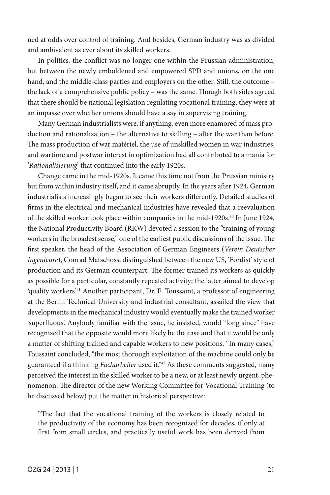ned at odds over control of training. And besides, German industry was as divided and ambivalent as ever about its skilled workers.

In politics, the conflict was no longer one within the Prussian administration, but between the newly emboldened and empowered SPD and unions, on the one hand, and the middle-class parties and employers on the other. Still, the outcome – the lack of a comprehensive public policy – was the same. Though both sides agreed that there should be national legislation regulating vocational training, they were at an impasse over whether unions should have a say in supervising training.

Many German industrialists were, if anything, even more enamored of mass production and rationalization – the alternative to skilling – after the war than before. The mass production of war matériel, the use of unskilled women in war industries, and wartime and postwar interest in optimization had all contributed to a mania for '*Rationalisierung*' that continued into the early 1920s.

Change came in the mid-1920s. It came this time not from the Prussian ministry but from within industry itself, and it came abruptly. In the years after 1924, German industrialists increasingly began to see their workers differently. Detailed studies of firms in the electrical and mechanical industries have revealed that a reevaluation of the skilled worker took place within companies in the mid-1920s.40 In June 1924, the National Productivity Board (RKW) devoted a session to the "training of young workers in the broadest sense," one of the earliest public discussions of the issue. The first speaker, the head of the Association of German Engineers (*Verein Deutscher Ingenieure*), Conrad Matschoss, distinguished between the new US, 'Fordist' style of production and its German counterpart. The former trained its workers as quickly as possible for a particular, constantly repeated activity; the latter aimed to develop 'quality workers'.41 Another participant, Dr. E. Toussaint, a professor of engineering at the Berlin Technical University and industrial consultant, assailed the view that developments in the mechanical industry would eventually make the trained worker 'superfluous'. Anybody familiar with the issue, he insisted, would "long since" have recognized that the opposite would more likely be the case and that it would be only a matter of shifting trained and capable workers to new positions. "In many cases," Toussaint concluded, "the most thorough exploitation of the machine could only be guaranteed if a thinking *Facharbeiter* used it."42 As these comments suggested, many perceived the interest in the skilled worker to be a new, or at least newly urgent, phenomenon. The director of the new Working Committee for Vocational Training (to be discussed below) put the matter in historical perspective:

"The fact that the vocational training of the workers is closely related to the productivity of the economy has been recognized for decades, if only at first from small circles, and practically useful work has been derived from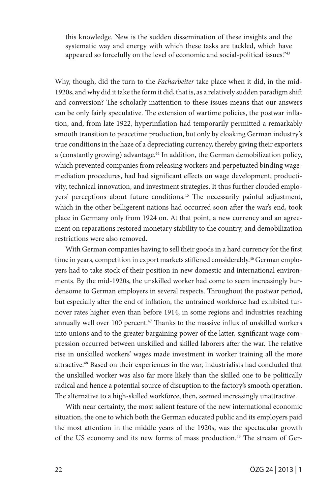this knowledge. New is the sudden dissemination of these insights and the systematic way and energy with which these tasks are tackled, which have appeared so forcefully on the level of economic and social-political issues."43

Why, though, did the turn to the *Facharbeiter* take place when it did, in the mid-1920s, and why did it take the form it did, that is, as a relatively sudden paradigm shift and conversion? The scholarly inattention to these issues means that our answers can be only fairly speculative. The extension of wartime policies, the postwar inflation, and, from late 1922, hyperinflation had temporarily permitted a remarkably smooth transition to peacetime production, but only by cloaking German industry's true conditions in the haze of a depreciating currency, thereby giving their exporters a (constantly growing) advantage.<sup>44</sup> In addition, the German demobilization policy, which prevented companies from releasing workers and perpetuated binding wagemediation procedures, had had significant effects on wage development, productivity, technical innovation, and investment strategies. It thus further clouded employers' perceptions about future conditions.<sup>45</sup> The necessarily painful adjustment, which in the other belligerent nations had occurred soon after the war's end, took place in Germany only from 1924 on. At that point, a new currency and an agreement on reparations restored monetary stability to the country, and demobilization restrictions were also removed.

With German companies having to sell their goods in a hard currency for the first time in years, competition in export markets stiffened considerably.<sup>46</sup> German employers had to take stock of their position in new domestic and international environments. By the mid-1920s, the unskilled worker had come to seem increasingly burdensome to German employers in several respects. Throughout the postwar period, but especially after the end of inflation, the untrained workforce had exhibited turnover rates higher even than before 1914, in some regions and industries reaching annually well over 100 percent.<sup>47</sup> Thanks to the massive influx of unskilled workers into unions and to the greater bargaining power of the latter, significant wage compression occurred between unskilled and skilled laborers after the war. The relative rise in unskilled workers' wages made investment in worker training all the more attractive.48 Based on their experiences in the war, industrialists had concluded that the unskilled worker was also far more likely than the skilled one to be politically radical and hence a potential source of disruption to the factory's smooth operation. The alternative to a high-skilled workforce, then, seemed increasingly unattractive.

With near certainty, the most salient feature of the new international economic situation, the one to which both the German educated public and its employers paid the most attention in the middle years of the 1920s, was the spectacular growth of the US economy and its new forms of mass production.49 The stream of Ger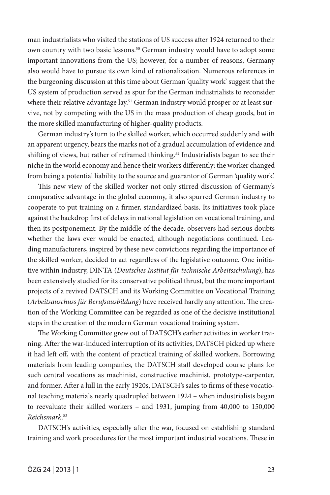man industrialists who visited the stations of US success after 1924 returned to their own country with two basic lessons.50 German industry would have to adopt some important innovations from the US; however, for a number of reasons, Germany also would have to pursue its own kind of rationalization. Numerous references in the burgeoning discussion at this time about German 'quality work' suggest that the US system of production served as spur for the German industrialists to reconsider where their relative advantage lay.<sup>51</sup> German industry would prosper or at least survive, not by competing with the US in the mass production of cheap goods, but in the more skilled manufacturing of higher-quality products.

German industry's turn to the skilled worker, which occurred suddenly and with an apparent urgency, bears the marks not of a gradual accumulation of evidence and shifting of views, but rather of reframed thinking.<sup>52</sup> Industrialists began to see their niche in the world economy and hence their workers differently: the worker changed from being a potential liability to the source and guarantor of German 'quality work'.

This new view of the skilled worker not only stirred discussion of Germany's comparative advantage in the global economy, it also spurred German industry to cooperate to put training on a firmer, standardized basis. Its initiatives took place against the backdrop first of delays in national legislation on vocational training, and then its postponement. By the middle of the decade, observers had serious doubts whether the laws ever would be enacted, although negotiations continued. Leading manufacturers, inspired by these new convictions regarding the importance of the skilled worker, decided to act regardless of the legislative outcome. One initiative within industry, DINTA (*Deutsches Institut für technische Arbeitsschulung*), has been extensively studied for its conservative political thrust, but the more important projects of a revived DATSCH and its Working Committee on Vocational Training (*Arbeitsauschuss für Berufsausbildung*) have received hardly any attention. The creation of the Working Committee can be regarded as one of the decisive institutional steps in the creation of the modern German vocational training system.

The Working Committee grew out of DATSCH's earlier activities in worker training. After the war-induced interruption of its activities, DATSCH picked up where it had left off, with the content of practical training of skilled workers. Borrowing materials from leading companies, the DATSCH staff developed course plans for such central vocations as machinist, constructive machinist, prototype-carpenter, and former. After a lull in the early 1920s, DATSCH's sales to firms of these vocational teaching materials nearly quadrupled between 1924 – when industrialists began to reevaluate their skilled workers – and 1931, jumping from 40,000 to 150,000 *Reichsmark*. 53

DATSCH's activities, especially after the war, focused on establishing standard training and work procedures for the most important industrial vocations. These in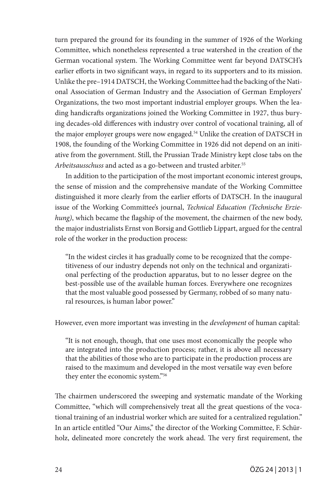turn prepared the ground for its founding in the summer of 1926 of the Working Committee, which nonetheless represented a true watershed in the creation of the German vocational system. The Working Committee went far beyond DATSCH's earlier efforts in two significant ways, in regard to its supporters and to its mission. Unlike the pre–1914 DATSCH, the Working Committee had the backing of the National Association of German Industry and the Association of German Employers' Organizations, the two most important industrial employer groups. When the leading handicrafts organizations joined the Working Committee in 1927, thus burying decades-old differences with industry over control of vocational training, all of the major employer groups were now engaged.<sup>54</sup> Unlike the creation of DATSCH in 1908, the founding of the Working Committee in 1926 did not depend on an initiative from the government. Still, the Prussian Trade Ministry kept close tabs on the Arbeitsausschuss and acted as a go-between and trusted arbiter.<sup>55</sup>

In addition to the participation of the most important economic interest groups, the sense of mission and the comprehensive mandate of the Working Committee distinguished it more clearly from the earlier efforts of DATSCH. In the inaugural issue of the Working Committee's journal, *Technical Education (Technische Erziehung)*, which became the flagship of the movement, the chairmen of the new body, the major industrialists Ernst von Borsig and Gottlieb Lippart, argued for the central role of the worker in the production process:

"In the widest circles it has gradually come to be recognized that the competitiveness of our industry depends not only on the technical and organizational perfecting of the production apparatus, but to no lesser degree on the best-possible use of the available human forces. Everywhere one recognizes that the most valuable good possessed by Germany, robbed of so many natural resources, is human labor power."

However, even more important was investing in the *development* of human capital:

"It is not enough, though, that one uses most economically the people who are integrated into the production process; rather, it is above all necessary that the abilities of those who are to participate in the production process are raised to the maximum and developed in the most versatile way even before they enter the economic system."56

The chairmen underscored the sweeping and systematic mandate of the Working Committee, "which will comprehensively treat all the great questions of the vocational training of an industrial worker which are suited for a centralized regulation." In an article entitled "Our Aims," the director of the Working Committee, F. Schürholz, delineated more concretely the work ahead. The very first requirement, the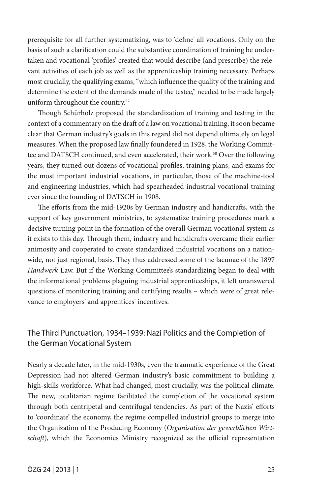prerequisite for all further systematizing, was to 'define' all vocations. Only on the basis of such a clarification could the substantive coordination of training be undertaken and vocational 'profiles' created that would describe (and prescribe) the relevant activities of each job as well as the apprenticeship training necessary. Perhaps most crucially, the qualifying exams, "which influence the quality of the training and determine the extent of the demands made of the testee," needed to be made largely uniform throughout the country.57

Though Schürholz proposed the standardization of training and testing in the context of a commentary on the draft of a law on vocational training, it soon became clear that German industry's goals in this regard did not depend ultimately on legal measures. When the proposed law finally foundered in 1928, the Working Committee and DATSCH continued, and even accelerated, their work.58 Over the following years, they turned out dozens of vocational profiles, training plans, and exams for the most important industrial vocations, in particular, those of the machine-tool and engineering industries, which had spearheaded industrial vocational training ever since the founding of DATSCH in 1908.

The efforts from the mid-1920s by German industry and handicrafts, with the support of key government ministries, to systematize training procedures mark a decisive turning point in the formation of the overall German vocational system as it exists to this day. Through them, industry and handicrafts overcame their earlier animosity and cooperated to create standardized industrial vocations on a nationwide, not just regional, basis. They thus addressed some of the lacunae of the 1897 *Handwerk* Law. But if the Working Committee's standardizing began to deal with the informational problems plaguing industrial apprenticeships, it left unanswered questions of monitoring training and certifying results – which were of great relevance to employers' and apprentices' incentives.

## The Third Punctuation, 1934–1939: Nazi Politics and the Completion of the German Vocational System

Nearly a decade later, in the mid-1930s, even the traumatic experience of the Great Depression had not altered German industry's basic commitment to building a high-skills workforce. What had changed, most crucially, was the political climate. The new, totalitarian regime facilitated the completion of the vocational system through both centripetal and centrifugal tendencies. As part of the Nazis' efforts to 'coordinate' the economy, the regime compelled industrial groups to merge into the Organization of the Producing Economy (*Organisation der gewerblichen Wirtschaft*), which the Economics Ministry recognized as the official representation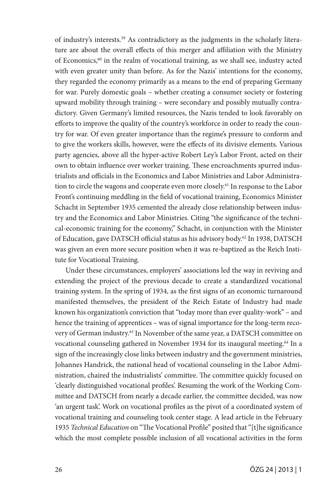of industry's interests.59 As contradictory as the judgments in the scholarly literature are about the overall effects of this merger and affiliation with the Ministry of Economics,<sup>60</sup> in the realm of vocational training, as we shall see, industry acted with even greater unity than before. As for the Nazis' intentions for the economy, they regarded the economy primarily as a means to the end of preparing Germany for war. Purely domestic goals – whether creating a consumer society or fostering upward mobility through training – were secondary and possibly mutually contradictory. Given Germany's limited resources, the Nazis tended to look favorably on efforts to improve the quality of the country's workforce in order to ready the country for war. Of even greater importance than the regime's pressure to conform and to give the workers skills, however, were the effects of its divisive elements. Various party agencies, above all the hyper-active Robert Ley's Labor Front, acted on their own to obtain influence over worker training. These encroachments spurred industrialists and officials in the Economics and Labor Ministries and Labor Administration to circle the wagons and cooperate even more closely.61 In response to the Labor Front's continuing meddling in the field of vocational training, Economics Minister Schacht in September 1935 cemented the already close relationship between industry and the Economics and Labor Ministries. Citing "the significance of the technical-economic training for the economy," Schacht, in conjunction with the Minister of Education, gave DATSCH official status as his advisory body.62 In 1938, DATSCH was given an even more secure position when it was re-baptized as the Reich Institute for Vocational Training.

Under these circumstances, employers' associations led the way in reviving and extending the project of the previous decade to create a standardized vocational training system. In the spring of 1934, as the first signs of an economic turnaround manifested themselves, the president of the Reich Estate of Industry had made known his organization's conviction that "today more than ever quality-work" – and hence the training of apprentices – was of signal importance for the long-term recovery of German industry.<sup>63</sup> In November of the same year, a DATSCH committee on vocational counseling gathered in November 1934 for its inaugural meeting.<sup>64</sup> In a sign of the increasingly close links between industry and the government ministries, Johannes Handrick, the national head of vocational counseling in the Labor Administration, chaired the industrialists' committee. The committee quickly focused on 'clearly distinguished vocational profiles'. Resuming the work of the Working Committee and DATSCH from nearly a decade earlier, the committee decided, was now 'an urgent task'. Work on vocational profiles as the pivot of a coordinated system of vocational training and counseling took center stage. A lead article in the February 1935 *Technical Education* on "The Vocational Profile" posited that "[t]he significance which the most complete possible inclusion of all vocational activities in the form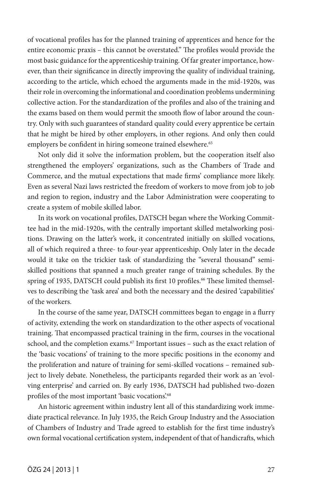of vocational profiles has for the planned training of apprentices and hence for the entire economic praxis – this cannot be overstated." The profiles would provide the most basic guidance for the apprenticeship training. Of far greater importance, however, than their significance in directly improving the quality of individual training, according to the article, which echoed the arguments made in the mid-1920s, was their role in overcoming the informational and coordination problems undermining collective action. For the standardization of the profiles and also of the training and the exams based on them would permit the smooth flow of labor around the country. Only with such guarantees of standard quality could every apprentice be certain that he might be hired by other employers, in other regions. And only then could employers be confident in hiring someone trained elsewhere.<sup>65</sup>

Not only did it solve the information problem, but the cooperation itself also strengthened the employers' organizations, such as the Chambers of Trade and Commerce, and the mutual expectations that made firms' compliance more likely. Even as several Nazi laws restricted the freedom of workers to move from job to job and region to region, industry and the Labor Administration were cooperating to create a system of mobile skilled labor.

In its work on vocational profiles, DATSCH began where the Working Committee had in the mid-1920s, with the centrally important skilled metalworking positions. Drawing on the latter's work, it concentrated initially on skilled vocations, all of which required a three- to four-year apprenticeship. Only later in the decade would it take on the trickier task of standardizing the "several thousand" semiskilled positions that spanned a much greater range of training schedules. By the spring of 1935, DATSCH could publish its first 10 profiles.<sup>66</sup> These limited themselves to describing the 'task area' and both the necessary and the desired 'capabilities' of the workers.

In the course of the same year, DATSCH committees began to engage in a flurry of activity, extending the work on standardization to the other aspects of vocational training. That encompassed practical training in the firm, courses in the vocational school, and the completion exams.<sup>67</sup> Important issues – such as the exact relation of the 'basic vocations' of training to the more specific positions in the economy and the proliferation and nature of training for semi-skilled vocations – remained subject to lively debate. Nonetheless, the participants regarded their work as an 'evolving enterprise' and carried on. By early 1936, DATSCH had published two-dozen profiles of the most important 'basic vocations'.<sup>68</sup>

An historic agreement within industry lent all of this standardizing work immediate practical relevance. In July 1935, the Reich Group Industry and the Association of Chambers of Industry and Trade agreed to establish for the first time industry's own formal vocational certification system, independent of that of handicrafts, which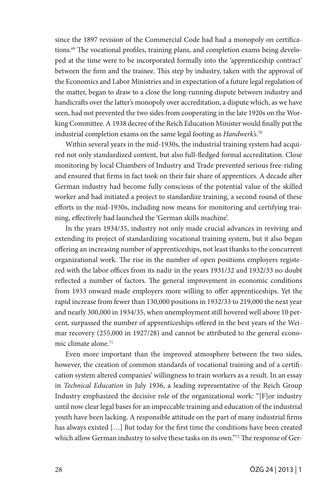since the 1897 revision of the Commercial Code had had a monopoly on certifications.69 The vocational profiles, training plans, and completion exams being developed at the time were to be incorporated formally into the 'apprenticeship contract' between the firm and the trainee. This step by industry, taken with the approval of the Economics and Labor Ministries and in expectation of a future legal regulation of the matter, began to draw to a close the long-running dispute between industry and handicrafts over the latter's monopoly over accreditation, a dispute which, as we have seen, had not prevented the two sides from cooperating in the late 1920s on the Working Committee. A 1938 decree of the Reich Education Minister would finally put the industrial completion exams on the same legal footing as *Handwerk's*. 70

Within several years in the mid-1930s, the industrial training system had acquired not only standardized content, but also full-fledged formal accreditation. Close monitoring by local Chambers of Industry and Trade prevented serious free-riding and ensured that firms in fact took on their fair share of apprentices. A decade after German industry had become fully conscious of the potential value of the skilled worker and had initiated a project to standardize training, a second round of these efforts in the mid-1930s, including now means for monitoring and certifying training, effectively had launched the 'German skills machine'.

In the years 1934/35, industry not only made crucial advances in reviving and extending its project of standardizing vocational training system, but it also began offering an increasing number of apprenticeships, not least thanks to the concurrent organizational work. The rise in the number of open positions employers registered with the labor offices from its nadir in the years 1931/32 and 1932/33 no doubt reflected a number of factors. The general improvement in economic conditions from 1933 onward made employers more willing to offer apprenticeships. Yet the rapid increase from fewer than 130,000 positions in 1932/33 to 219,000 the next year and nearly 300,000 in 1934/35, when unemployment still hovered well above 10 percent, surpassed the number of apprenticeships offered in the best years of the Weimar recovery (255,000 in 1927/28) and cannot be attributed to the general economic climate alone.71

Even more important than the improved atmosphere between the two sides, however, the creation of common standards of vocational training and of a certification system altered companies' willingness to train workers as a result. In an essay in *Technical Education* in July 1936, a leading representative of the Reich Group Industry emphasized the decisive role of the organizational work: "[F]or industry until now clear legal bases for an impeccable training and education of the industrial youth have been lacking. A responsible attitude on the part of many industrial firms has always existed […] But today for the first time the conditions have been created which allow German industry to solve these tasks on its own."<sup>72</sup> The response of Ger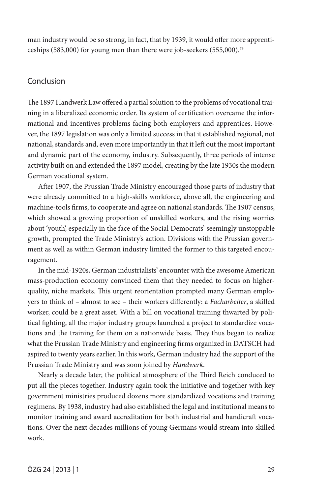man industry would be so strong, in fact, that by 1939, it would offer more apprenticeships (583,000) for young men than there were job-seekers (555,000).73

### Conclusion

The 1897 Handwerk Law offered a partial solution to the problems of vocational training in a liberalized economic order. Its system of certification overcame the informational and incentives problems facing both employers and apprentices. However, the 1897 legislation was only a limited success in that it established regional, not national, standards and, even more importantly in that it left out the most important and dynamic part of the economy, industry. Subsequently, three periods of intense activity built on and extended the 1897 model, creating by the late 1930s the modern German vocational system.

After 1907, the Prussian Trade Ministry encouraged those parts of industry that were already committed to a high-skills workforce, above all, the engineering and machine-tools firms, to cooperate and agree on national standards. The 1907 census, which showed a growing proportion of unskilled workers, and the rising worries about 'youth', especially in the face of the Social Democrats' seemingly unstoppable growth, prompted the Trade Ministry's action. Divisions with the Prussian government as well as within German industry limited the former to this targeted encouragement.

In the mid-1920s, German industrialists' encounter with the awesome American mass-production economy convinced them that they needed to focus on higherquality, niche markets. This urgent reorientation prompted many German employers to think of – almost to see – their workers differently: a *Facharbeiter*, a skilled worker, could be a great asset. With a bill on vocational training thwarted by political fighting, all the major industry groups launched a project to standardize vocations and the training for them on a nationwide basis. They thus began to realize what the Prussian Trade Ministry and engineering firms organized in DATSCH had aspired to twenty years earlier. In this work, German industry had the support of the Prussian Trade Ministry and was soon joined by *Handwerk*.

Nearly a decade later, the political atmosphere of the Third Reich conduced to put all the pieces together. Industry again took the initiative and together with key government ministries produced dozens more standardized vocations and training regimens. By 1938, industry had also established the legal and institutional means to monitor training and award accreditation for both industrial and handicraft vocations. Over the next decades millions of young Germans would stream into skilled work.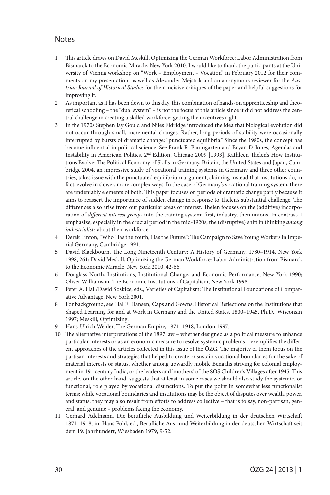## **Notes**

- 1 This article draws on David Meskill, Optimizing the German Workforce: Labor Administration from Bismarck to the Economic Miracle, New York 2010. I would like to thank the participants at the University of Vienna workshop on "Work – Employment – Vocation" in February 2012 for their comments on my presentation, as well as Alexander Mejstrik and an anonymous reviewer for the *Austrian Journal of Historical Studies* for their incisive critiques of the paper and helpful suggestions for improving it.
- 2 As important as it has been down to this day, this combination of hands-on apprenticeship and theoretical schooling – the "dual system" – is not the focus of this article since it did not address the central challenge in creating a skilled workforce: getting the incentives right.
- 3 In the 1970s Stephen Jay Gould and Niles Eldridge introduced the idea that biological evolution did not occur through small, incremental changes. Rather, long periods of stability were occasionally interrupted by bursts of dramatic change: "punctuated equilibria." Since the 1980s, the concept has become influential in political science. See Frank R. Baumgarten and Bryan D. Jones, Agendas and Instability in American Politics, 2nd Edition, Chicago 2009 [1993]. Kathleen Thelen's How Institutions Evolve: The Political Economy of Skills in Germany, Britain, the United States and Japan, Cambridge 2004, an impressive study of vocational training systems in Germany and three other countries, takes issue with the punctuated equilibrium argument, claiming instead that institutions do, in fact, evolve in slower, more complex ways. In the case of Germany's vocational training system, there are undeniably elements of both. This paper focuses on periods of dramatic change partly because it aims to reassert the importance of sudden change in response to Thelen's substantial challenge. The differences also arise from our particular areas of interest. Thelen focuses on the (additive) incorporation of *different interest groups* into the training system: first, industry, then unions. In contrast, I emphasize, especially in the crucial period in the mid-1920s, the (disruptive) shift in thinking *among industrialists* about their workforce.
- 4 Derek Linton, "Who Has the Youth, Has the Future": The Campaign to Save Young Workers in Imperial Germany, Cambridge 1991.
- 5 David Blackbourn, The Long Nineteenth Century: A History of Germany, 1780–1914, New York 1998, 261; David Meskill, Optimizing the German Workforce: Labor Administration from Bismarck to the Economic Miracle, New York 2010, 42-66.
- 6 Douglass North, Institutions, Institutional Change, and Economic Performance, New York 1990; Oliver Williamson, The Economic Institutions of Capitalism, New York 1998.
- 7 Peter A. Hall/David Soskice, eds., Varieties of Capitalism: The Institutional Foundations of Comparative Advantage, New York 2001.
- 8 For background, see Hal E. Hansen, Caps and Gowns: Historical Reflections on the Institutions that Shaped Learning for and at Work in Germany and the United States, 1800–1945, Ph.D., Wisconsin 1997; Meskill, Optimizing.
- 9 Hans-Ulrich Wehler, The German Empire, 1871–1918, London 1997.
- 10 The alternative interpretations of the 1897 law whether designed as a political measure to enhance particular interests or as an economic measure to resolve systemic problems – exemplifies the different approaches of the articles collected in this issue of the ÖZG. The majority of them focus on the partisan interests and strategies that helped to create or sustain vocational boundaries for the sake of material interests or status, whether among upwardly mobile Bengalis striving for colonial employment in 19<sup>th</sup> century India, or the leaders and 'mothers' of the SOS Children's Villages after 1945. This article, on the other hand, suggests that at least in some cases we should also study the systemic, or functional, role played by vocational distinctions. To put the point in somewhat less functionalist terms: while vocational boundaries and institutions may be the object of disputes over wealth, power, and status, they may also result from efforts to address collective – that is to say, non-partisan, general, and genuine – problems facing the economy.
- 11 Gerhard Adelmann, Die berufliche Ausbildung und Weiterbildung in der deutschen Wirtschaft 1871–1918, in: Hans Pohl, ed., Berufliche Aus- und Weiterbildung in der deutschen Wirtschaft seit dem 19. Jahrhundert, Wiesbaden 1979, 9-52.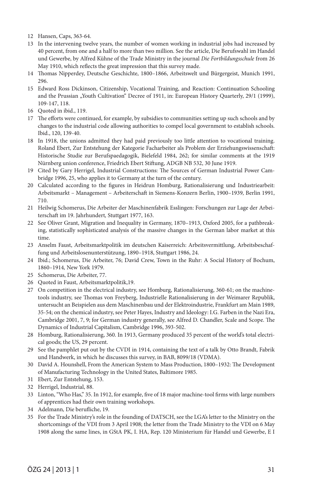- 12 Hansen, Caps, 363-64.
- 13 In the intervening twelve years, the number of women working in industrial jobs had increased by 40 percent, from one and a half to more than two million. See the article, Die Berufswahl im Handel und Gewerbe, by Alfred Kühne of the Trade Ministry in the journal *Die Fortbildungsschule* from 26 May 1910, which reflects the great impression that this survey made.
- 14 Thomas Nipperdey, Deutsche Geschichte, 1800–1866, Arbeitswelt und Bürgergeist, Munich 1991, 296.
- 15 Edward Ross Dickinson, Citizenship, Vocational Training, and Reaction: Continuation Schooling and the Prussian "Youth Cultivation" Decree of 1911, in: European History Quarterly, 29/1 (1999), 109-147, 118.
- 16 Quoted in ibid., 119.
- 17 The efforts were continued, for example, by subsidies to communities setting up such schools and by changes to the industrial code allowing authorities to compel local government to establish schools. Ibid., 120, 139-40.
- 18 In 1918, the unions admitted they had paid previously too little attention to vocational training. Roland Ebert, Zur Entstehung der Kategorie Facharbeiter als Problem der Erziehungswissenschaft: Historische Studie zur Berufspaedagogik, Bielefeld 1984, 262; for similar comments at the 1919 Nürnberg union conference, Friedrich Ebert Stiftung, ADGB NB 532, 30 June 1919.
- 19 Cited by Gary Herrigel, Industrial Constructions: The Sources of German Industrial Power Cambridge 1996, 25, who applies it to Germany at the turn of the century.
- 20 Calculated according to the figures in Heidrun Homburg, Rationalisierung und Industriearbeit: Arbeitsmarkt – Management – Arbeiterschaft in Siemens-Konzern Berlin, 1900–1939*,* Berlin 1991, 710.
- 21 Heilwig Schomerus, Die Arbeiter der Maschinenfabrik Esslingen: Forschungen zur Lage der Arbeiterschaft im 19. Jahrhundert*,* Stuttgart 1977, 163.
- 22 See Oliver Grant, Migration and Inequality in Germany, 1870–1913, Oxford 2005, for a pathbreaking, statistically sophisticated analysis of the massive changes in the German labor market at this time.
- 23 Anselm Faust, Arbeitsmarktpolitik im deutschen Kaiserreich: Arbeitsvermittlung, Arbeitsbeschaffung und Arbeitslosenunterstützung, 1890–1918, Stuttgart 1986, 24.
- 24 Ibid.; Schomerus, Die Arbeiter, 76; David Crew, Town in the Ruhr: A Social History of Bochum, 1860–1914*,* New York 1979.
- 25 Schomerus, Die Arbeiter, 77.
- 26 Quoted in Faust, Arbeitsmarktpolitik,19.
- 27 On competition in the electrical industry, see Homburg, Rationalisierung, 360-61; on the machinetools industry, see Thomas von Freyberg, Industrielle Rationalisierung in der Weimarer Republik, untersucht an Beispielen aus dem Maschinenbau und der Elektroindustrie, Frankfurt am Main 1989, 35-54; on the chemical industry, see Peter Hayes, Industry and Ideology: I.G. Farben in the Nazi Era, Cambridge 2001, 7, 9; for German industry generally, see Alfred D. Chandler, Scale and Scope. The Dynamics of Industrial Capitalism, Cambridge 1996, 393-502.
- 28 Homburg, Rationalisierung, 360. In 1913, Germany produced 35 percent of the world's total electrical goods; the US, 29 percent.
- 29 See the pamphlet put out by the CVDI in 1914, containing the text of a talk by Otto Brandt, Fabrik und Handwerk, in which he discusses this survey, in BAB, 8099/18 (VDMA).
- 30 David A. Hounshell, From the American System to Mass Production, 1800–1932: The Development of Manufacturing Technology in the United States, Baltimore 1985.
- 31 Ebert, Zur Entstehung, 153.
- 32 Herrigel, Industrial, 88.
- 33 Linton, "Who Has," 35. In 1912, for example, five of 18 major machine-tool firms with large numbers of apprentices had their own training workshops.
- 34 Adelmann*,* Die berufliche, 19.
- 35 For the Trade Ministry's role in the founding of DATSCH, see the LGA's letter to the Ministry on the shortcomings of the VDI from 3 April 1908; the letter from the Trade Ministry to the VDI on 6 May 1908 along the same lines, in GStA PK, I. HA, Rep. 120 Ministerium für Handel und Gewerbe, E I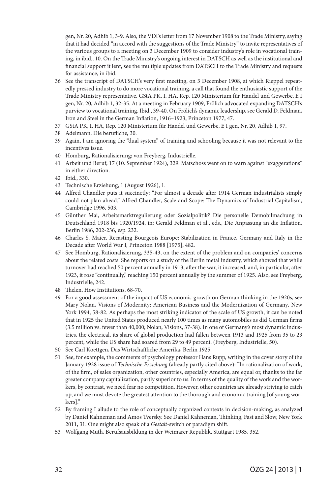gen, Nr. 20, Adhib 1, 3-9. Also, the VDI's letter from 17 November 1908 to the Trade Ministry, saying that it had decided "in accord with the suggestions of the Trade Ministry" to invite representatives of the various groups to a meeting on 3 December 1909 to consider industry's role in vocational training, in ibid., 10. On the Trade Ministry's ongoing interest in DATSCH as well as the institutional and financial support it lent, see the multiple updates from DATSCH to the Trade Ministry and requests for assistance, in ibid.

- 36 See the transcript of DATSCH's very first meeting, on 3 December 1908, at which Rieppel repeatedly pressed industry to do more vocational training, a call that found the enthusiastic support of the Trade Ministry representative. GStA PK, I. HA, Rep. 120 Ministerium für Handel und Gewerbe, E I gen, Nr. 20, Adhib 1, 32-35. At a meeting in February 1909, Frölich advocated expanding DATSCH's purview to vocational training. Ibid., 39-40. On Frölich's dynamic leadership, see Gerald D. Feldman, Iron and Steel in the German Inflation, 1916–1923, Princeton 1977, 47.
- 37 GStA PK, I. HA, Rep. 120 Ministerium für Handel und Gewerbe, E I gen, Nr. 20, Adhib 1, 97.
- 38 Adelmann, Die berufliche, 30.
- 39 Again, I am ignoring the "dual system" of training and schooling because it was not relevant to the incentives issue.
- 40 Homburg, Rationalisierung; von Freyberg, Industrielle.
- 41 Arbeit und Beruf, 17 (10. September 1924), 329. Matschoss went on to warn against "exaggerations" in either direction.
- 42 Ibid., 330.
- 43 Technische Erziehung, 1 (August 1926), 1.
- 44 Alfred Chandler puts it succinctly: "For almost a decade after 1914 German industrialists simply could not plan ahead." Alfred Chandler, Scale and Scope: The Dynamics of Industrial Capitalism, Cambridge 1996, 503.
- 45 Günther Mai, Arbeitsmarktregulierung oder Sozialpolitik? Die personelle Demobilmachung in Deutschland 1918 bis 1920/1924, in: Gerald Feldman et al., eds., Die Anpassung an die Inflation*,*  Berlin 1986, 202-236, esp. 232.
- 46 Charles S. Maier, Recasting Bourgeois Europe: Stabilization in France, Germany and Italy in the Decade after World War I*,* Princeton 1988 [1975], 482.
- 47 See Homburg, Rationalisierung, 335-43, on the extent of the problem and on companies' concerns about the related costs. She reports on a study of the Berlin metal industry, which showed that while turnover had reached 50 percent annually in 1913, after the war, it increased, and, in particular, after 1923, it rose "continually," reaching 150 percent annually by the summer of 1925. Also, see Freyberg, Industrielle, 242.
- 48 Thelen, How Institutions, 68-70.
- 49 For a good assessment of the impact of US economic growth on German thinking in the 1920s, see Mary Nolan, Visions of Modernity: American Business and the Modernization of Germany*,* New York 1994, 58-82. As perhaps the most striking indicator of the scale of US growth, it can be noted that in 1925 the United States produced nearly 100 times as many automobiles as did German firms (3.5 million vs. fewer than 40,000; Nolan, Visions, 37-38). In one of Germany's most dynamic industries, the electrical, its share of global production had fallen between 1913 and 1925 from 35 to 23 percent, while the US share had soared from 29 to 49 percent. (Freyberg, Industrielle, 50).
- 50 See Carl Koettgen, Das Wirtschaftliche Amerika, Berlin 1925.
- 51 See, for example, the comments of psychology professor Hans Rupp, writing in the cover story of the January 1928 issue of *Technische Erziehung* (already partly cited above): "In rationalization of work, of the firm, of sales organization, other countries, especially America, are equal or, thanks to the far greater company capitalization, partly superior to us. In terms of the quality of the work and the workers, by contrast, we need fear no competition. However, other countries are already striving to catch up, and we must devote the greatest attention to the thorough and economic training [of young workers]."
- 52 By framing I allude to the role of conceptually organized contexts in decision-making, as analyzed by Daniel Kahneman and Amos Tversky. See Daniel Kahneman, Thinking, Fast and Slow, New York 2011, 31. One might also speak of a *Gestalt*-switch or paradigm shift.
- 53 Wolfgang Muth, Berufsausbildung in der Weimarer Republik, Stuttgart 1985, 352.